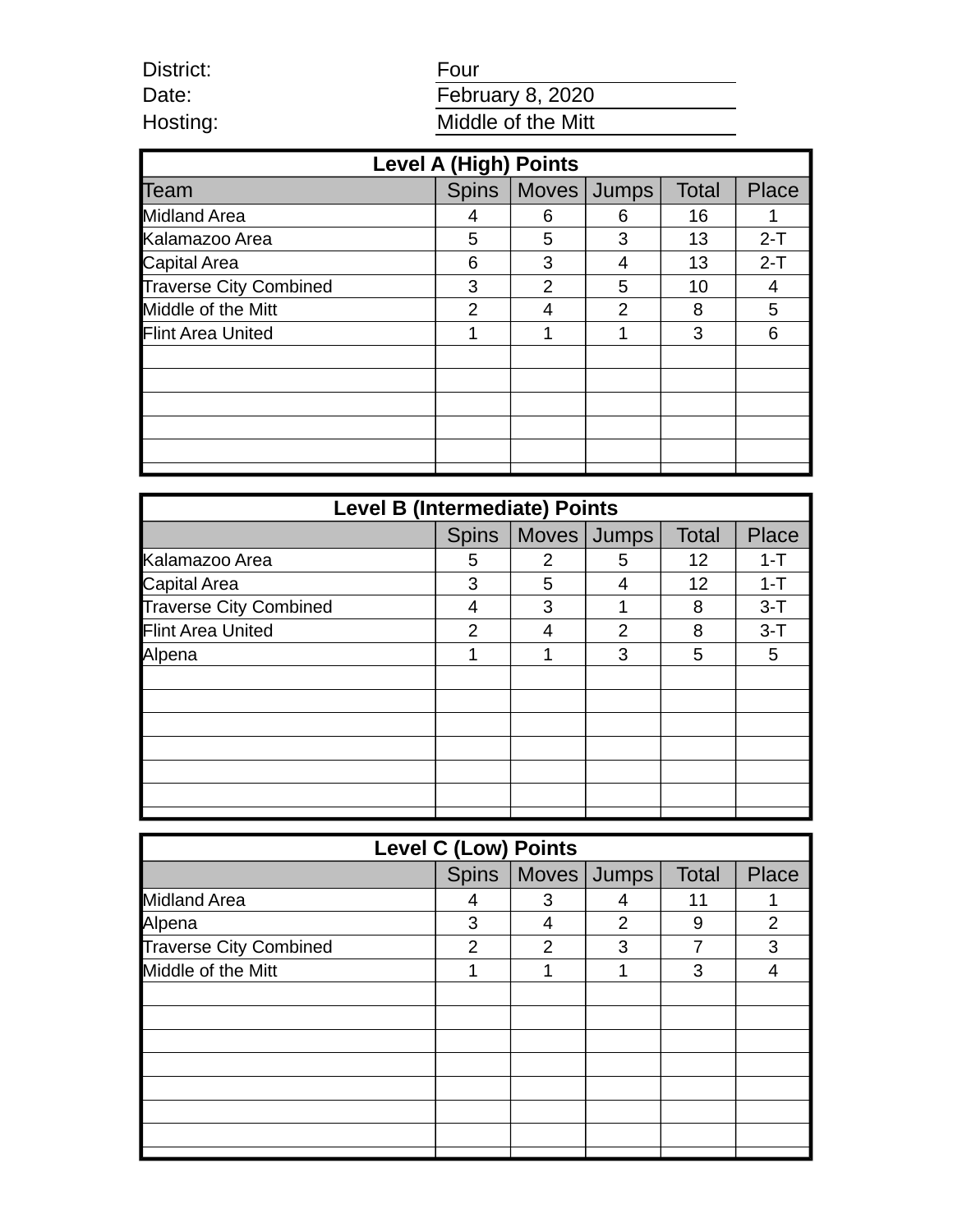| Four                    |
|-------------------------|
| <b>February 8, 2020</b> |
| Middle of the Mitt      |

| <b>Level A (High) Points</b>  |                |               |              |              |       |  |
|-------------------------------|----------------|---------------|--------------|--------------|-------|--|
| Team                          | <b>Spins</b>   | Moves         | <b>Jumps</b> | <b>Total</b> | Place |  |
| <b>Midland Area</b>           | 4              | 6             | 6            | 16           | 1     |  |
| Kalamazoo Area                | 5              | 5             | 3            | 13           | $2-T$ |  |
| Capital Area                  | 6              | 3             | 4            | 13           | $2-T$ |  |
| <b>Traverse City Combined</b> | 3              | $\mathcal{P}$ | 5            | 10           | 4     |  |
| Middle of the Mitt            | $\mathfrak{p}$ |               | 2            | 8            | 5     |  |
| Flint Area United             | 1              | 1             | 1            | 3            | 6     |  |
|                               |                |               |              |              |       |  |
|                               |                |               |              |              |       |  |
|                               |                |               |              |              |       |  |
|                               |                |               |              |              |       |  |
|                               |                |               |              |              |       |  |
|                               |                |               |              |              |       |  |

District: Date: Hosting:

| <b>Level B (Intermediate) Points</b> |              |   |               |              |         |  |
|--------------------------------------|--------------|---|---------------|--------------|---------|--|
|                                      | <b>Spins</b> |   | Moves Jumps   | <b>Total</b> | Place   |  |
| Kalamazoo Area                       | 5            | 2 | 5             | 12           | $1 - T$ |  |
| Capital Area                         | 3            | 5 | 4             | 12           | $1 - T$ |  |
| <b>Traverse City Combined</b>        | 4            | 3 |               | 8            | $3 - T$ |  |
| Flint Area United                    | 2            | 4 | $\mathcal{P}$ | 8            | $3-T$   |  |
| Alpena                               | 1            |   | 3             | 5            | 5       |  |
|                                      |              |   |               |              |         |  |
|                                      |              |   |               |              |         |  |
|                                      |              |   |               |              |         |  |
|                                      |              |   |               |              |         |  |
|                                      |              |   |               |              |         |  |
|                                      |              |   |               |              |         |  |
|                                      |              |   |               |              |         |  |

| <b>Level C (Low) Points</b>   |   |                       |               |       |                |  |
|-------------------------------|---|-----------------------|---------------|-------|----------------|--|
|                               |   | Spins   Moves   Jumps |               | Total | Place          |  |
| <b>Midland Area</b>           | 4 | 3                     | 4             | 11    | 1              |  |
| Alpena                        | 3 | 4                     | $\mathcal{P}$ | 9     | $\overline{2}$ |  |
| <b>Traverse City Combined</b> | 2 | $\overline{2}$        | 3             |       | 3              |  |
| Middle of the Mitt            | 1 | 1                     | 1             | 3     | 4              |  |
|                               |   |                       |               |       |                |  |
|                               |   |                       |               |       |                |  |
|                               |   |                       |               |       |                |  |
|                               |   |                       |               |       |                |  |
|                               |   |                       |               |       |                |  |
|                               |   |                       |               |       |                |  |
|                               |   |                       |               |       |                |  |
|                               |   |                       |               |       |                |  |